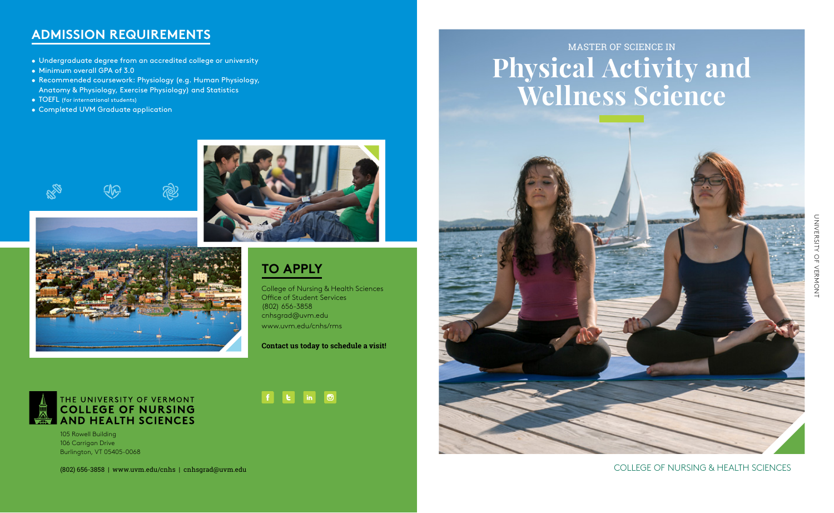## **ADMISSION REQUIREMENTS**

- Undergraduate degree from an accredited college or university
- Minimum overall GPA of 3.0
- Recommended coursework: Physiology (e.g. Human Physiology, Anatomy & Physiology, Exercise Physiology) and Statistics
- TOEFL (for international students)
- Completed UVM Graduate application





## **TO APPLY**

 $\vert f \vert$ 

**LET** 

 $\mid$  in  $\mid$ 

College of Nursing & Health Sciences Office of Student Services (802) 656-3858 cnhsgrad@uvm.edu www.uvm.edu/cnhs/rms

**Contact us today to schedule a visit!** 

 $\Box$ 



105 Rowell Building 106 Carrigan Drive Burlington, VT 05405-0068

# MASTER OF SCIENCE IN **Physical Activity and Wellness Science**



### (802) 656-3858 | www.uvm.edu/cnhs | cnhsgrad@uvm.edu COLLEGE OF NURSING & HEALTH SCIENCES